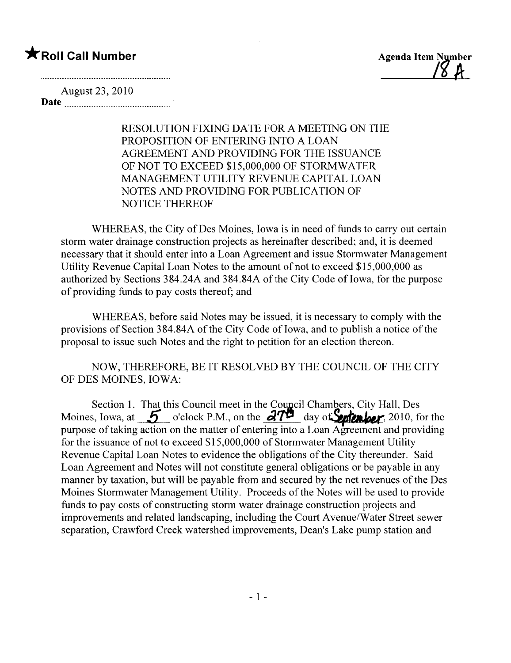#### \*Roll Call Number Agenda Item Number

<u>10 H</u>

August 23, 2010 Date

> RESOLUTION FIXING DATE FOR A MEETING ON THE PROPOSITION OF ENTERING INTO A LOAN AGREEMENT AND PROVIDING FOR THE ISSUANCE OF NOT TO EXCEED \$15,000,000 OF STORMWATER MANAGEMENT UTILITY REVENUE CAPITAL LOAN NOTES AND PROVIDING FOR PUBLICATION OF NOTICE THEREOF

WHEREAS, the City of Des Moines, Iowa is in need of funds to carry out certain storm water drainage construction projects as hereinafter described; and, it is deemed necessary that it should enter into a Loan Agreement and issue Stormwater Management Utility Revenue Capital Loan Notes to the amount of not to exceed \$15,000,000 as authorized by Sections 384.24A and 384.84A of the City Code of Iowa, for the purpose of providing funds to pay costs thereof; and

WHEREAS, before said Notes may be issued, it is necessary to comply with the provisions of Section 384.84A of the City Code of Iowa, and to publish a notice of the proposal to issue such Notes and the right to petition for an election thereon.

#### NOW, THEREFORE, BE IT RESOLVED BY THE COUNCIL OF THE CITY OF DES MOINES, IOWA:

Section 1. That this Council meet in the Council Chambers, City Hall, Des Moines, Iowa, at  $5$  o'clock P.M., on the  $37^{\frac{1}{2}}$  day of System ber, 2010, for the purpose of taking action on the matter of entering into a Loan Agreement and providing for the issuance of not to exceed \$15,000,000 of Stormwater Management Utility Revenue Capital Loan Notes to evidence the obligations of the City thereunder. Said Loan Agreement and Notes will not constitute general obligations or be payable in any manner by taxation, but will be payable from and secured by the net revenues of the Des Moines Stormwater Management Utility. Proceeds of the Notes will be used to provide funds to pay costs of constructing storm water drainage construction projects and improvements and related landscaping, including the Court Avenue/Water Street sewer separation, Crawford Creek watershed improvements, Dean's Lake pump station and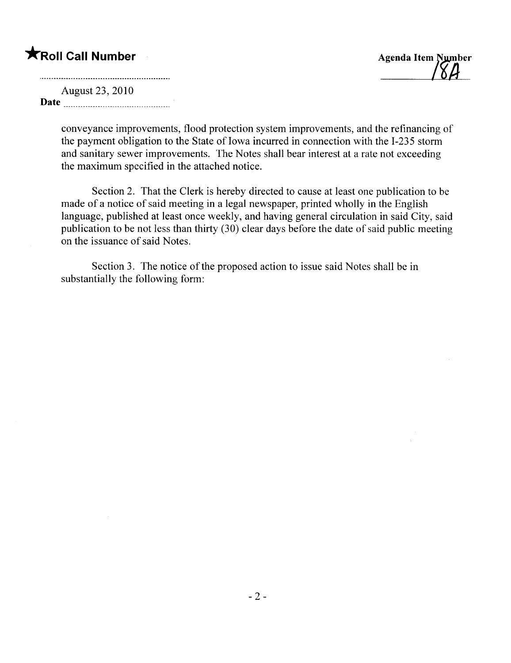## **★Roll Call Number** Agenda Item Number

August 23, 2010 Date  $\frac{1}{\sqrt{1-\frac{1}{2}}}\left\{ \frac{1}{2}, \frac{1}{2}, \frac{1}{2}, \frac{1}{2}, \frac{1}{2}, \frac{1}{2}, \frac{1}{2}, \frac{1}{2}, \frac{1}{2}, \frac{1}{2}, \frac{1}{2}, \frac{1}{2}, \frac{1}{2}, \frac{1}{2}, \frac{1}{2}, \frac{1}{2}, \frac{1}{2}, \frac{1}{2}, \frac{1}{2}, \frac{1}{2}, \frac{1}{2}, \frac{1}{2}, \frac{1}{2}, \frac{1}{2}, \frac{1}{2}, \frac{1}{2}, \frac{1}{2}, \frac{1}{2$ 

> conveyance improvements, flood protection system improvements, and the refinancing of the payment obligation to the State of Iowa incurred in connection with the I-235 storm and sanitary sewer improvements. The Notes shall bear interest at a rate not exceeding the maximum specified in the attached notice.

> Section 2. That the Clerk is hereby directed to cause at least one publication to be made of a notice of said meeting in a legal newspaper, printed wholly in the English language, published at least once weekly, and having general circulation in said City, said publication to be not less than thirty (30) clear days before the date of said public meeting on the issuance of said Notes.

Section 3. The notice of the proposed action to issue said Notes shall be in substantially the following form: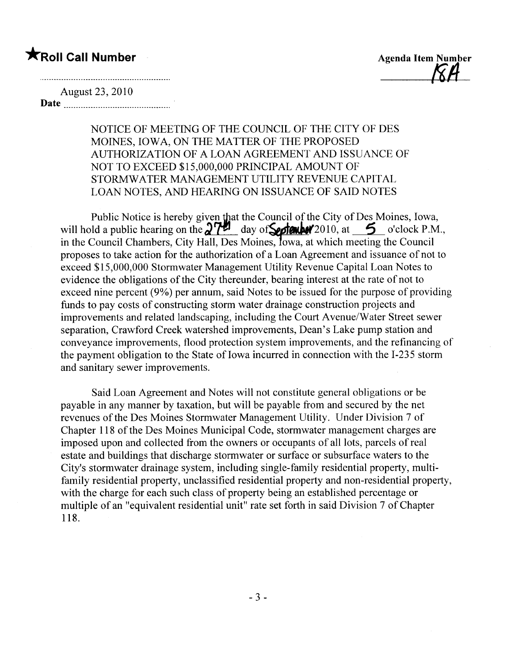### **\***Roll Call Number Agenda Item Number

 $\beta H_-$ 

August 23, 2010 Date

> NOTICE OF MEETING OF THE COUNCIL OF THE CITY OF DES MOINES, IOWA, ON THE MATTER OF THE PROPOSED AUTHORIZATION OF A LOAN AGREEMENT AND ISSUANCE OF NOT TO EXCEED \$15,000,000 PRINCIPAL AMOUNT OF STORMWATER MANAGEMENT UTILITY REVENUE CAPITAL LOAN NOTES, AND HEARING ON ISSUANCE OF SAID NOTES

Public Notice is hereby given that the Council of the City of Des Moines, Iowa, will hold a public hearing on the  $27$ <sup>14</sup> day of Section 4/2010, at 5 o'clock P.M., in the Council Chambers, City Hall, Des Moines, Iowa, at which meeting the Council proposes to take action for the authorization of a Loan Agreement and issuance of not to exceed \$15,000,000 Stormwater Management Utility Revenue Capital Loan Notes to evidence the obligations of the City thereunder, bearing interest at the rate of not to exceed nine percent (9%) per annum, said Notes to be issued for the purpose of providing funds to pay costs of constructing storm water drainage construction projects and improvements and related landscaping, including the Court A venue/Water Street sewer separation, Crawford Creek watershed improvements, Dean's Lake pump station and conveyance improvements, flood protection system improvements, and the refinancing of the payment obligation to the State of Iowa incurred in connection with the I-235 storm and sanitary sewer improvements.

Said Loan Agreement and Notes will not constitute general obligations or be payable in any manner by taxation, but will be payable from and secured by the net revenues of the Des Moines Stormwater Management Utility. Under Division 7 of Chapter 118 of the Des Moines Municipal Code, stormwater management charges are imposed upon and collected from the owners or occupants of all lots, parcels of real estate and buildings that discharge stormwater or surface or subsurface waters to the City's stormwater drainage system, including single-family residential property, multifamily residential property, unclassified residential property and non-residential property, with the charge for each such class of property being an established percentage or multiple of an "equivalent residential unit" rate set forth in said Division 7 of Chapter 118.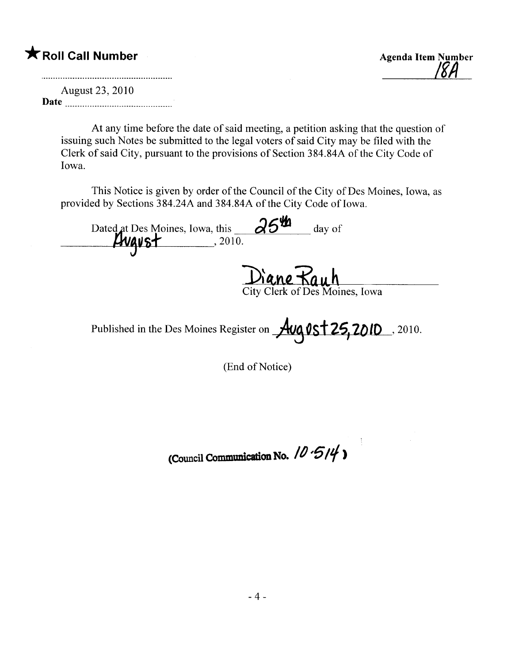#### \* Roll Call Number Agenda Item Number

<u>ISH</u>

August 23, 2010 Date

> At any time before the date of said meeting, a petition asking that the question of issuing such Notes be submitted to the legal voters of said City may be fied with the Clerk of said City, pursuant to the provisions of Section 384.84A of the City Code of Iowa.

> This Notice is given by order of the Council of the City of Des Moines, Iowa, as provided by Sections 384.24A and 384.84A of the City Code of Iowa.

Dated at Des Moines, Iowa, this  $\frac{\partial^{5\%}}{\partial \cdots}$  day of  $\ddot{\phantom{0}}$ <u>ן</u> City Clerk of Des Moines, Iowa

Published in the Des Moines Register on  $\frac{\text{Avg}\text{Vst}}{25,2010}$ , 2010.

(End of Notice)

(Council Communication No.  $10.514$ )